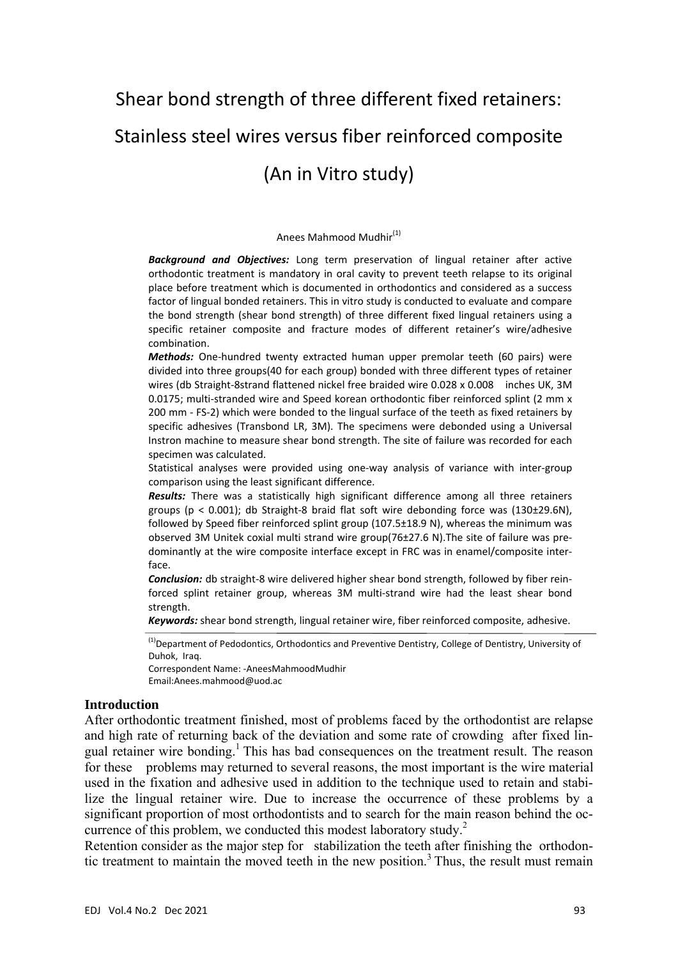# Shear bond strength of three different fixed retainers: Stainless steel wires versus fiber reinforced composite (An in Vitro study)

#### Anees Mahmood Mudhir(1)

*Background and Objectives:* Long term preservation of lingual retainer after active orthodontic treatment is mandatory in oral cavity to prevent teeth relapse to its original place before treatment which is documented in orthodontics and considered as a success factor of lingual bonded retainers. This in vitro study is conducted to evaluate and compare the bond strength (shear bond strength) of three different fixed lingual retainers using a specific retainer composite and fracture modes of different retainer's wire/adhesive combination.

*Methods:* One‐hundred twenty extracted human upper premolar teeth (60 pairs) were divided into three groups(40 for each group) bonded with three different types of retainer wires (db Straight-8strand flattened nickel free braided wire 0.028 x 0.008 inches UK, 3M 0.0175; multi-stranded wire and Speed korean orthodontic fiber reinforced splint (2 mm x 200 mm ‐ FS‐2) which were bonded to the lingual surface of the teeth as fixed retainers by specific adhesives (Transbond LR, 3M). The specimens were debonded using a Universal Instron machine to measure shear bond strength. The site of failure was recorded for each specimen was calculated.

Statistical analyses were provided using one‐way analysis of variance with inter‐group comparison using the least significant difference.

*Results:* There was a statistically high significant difference among all three retainers groups ( $p < 0.001$ ); db Straight-8 braid flat soft wire debonding force was (130±29.6N), followed by Speed fiber reinforced splint group (107.5±18.9 N), whereas the minimum was observed 3M Unitek coxial multi strand wire group(76±27.6 N).The site of failure was pre‐ dominantly at the wire composite interface except in FRC was in enamel/composite inter‐ face.

**Conclusion:** db straight-8 wire delivered higher shear bond strength, followed by fiber reinforced splint retainer group, whereas 3M multi‐strand wire had the least shear bond strength.

*Keywords:* shear bond strength, lingual retainer wire, fiber reinforced composite, adhesive.

<sup>(1)</sup>Department of Pedodontics, Orthodontics and Preventive Dentistry, College of Dentistry, University of Duhok, Iraq.

Correspondent Name: ‐AneesMahmoodMudhir Email:Anees.mahmood@uod.ac

#### **Introduction**

After orthodontic treatment finished, most of problems faced by the orthodontist are relapse and high rate of returning back of the deviation and some rate of crowding after fixed lingual retainer wire bonding.<sup>1</sup> This has bad consequences on the treatment result. The reason for these problems may returned to several reasons, the most important is the wire material used in the fixation and adhesive used in addition to the technique used to retain and stabilize the lingual retainer wire. Due to increase the occurrence of these problems by a significant proportion of most orthodontists and to search for the main reason behind the occurrence of this problem, we conducted this modest laboratory study.<sup>2</sup>

Retention consider as the major step for stabilization the teeth after finishing the orthodontic treatment to maintain the moved teeth in the new position.<sup>3</sup> Thus, the result must remain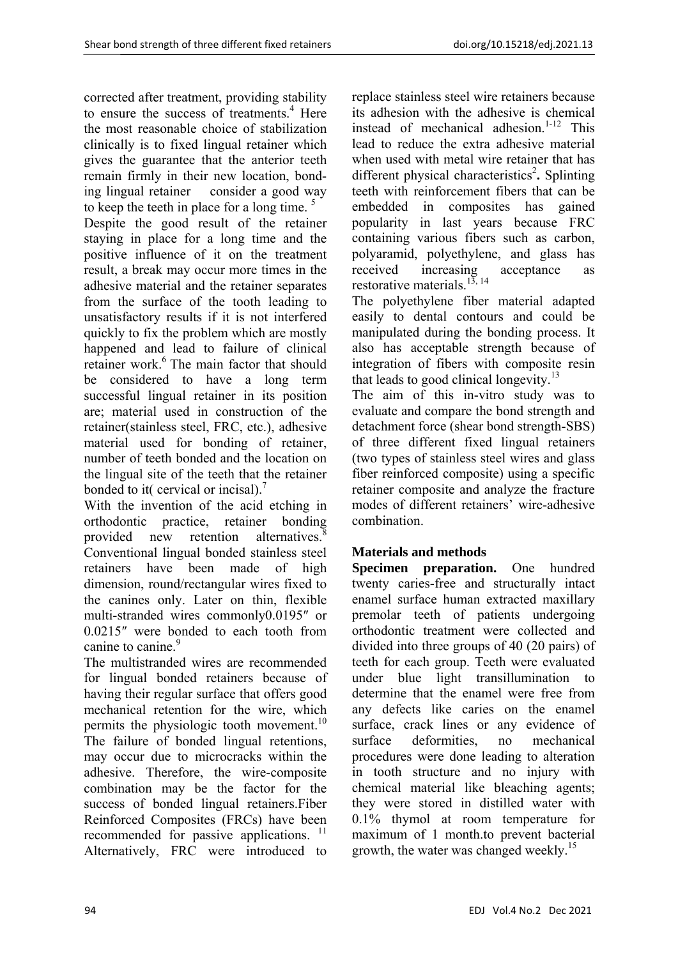corrected after treatment, providing stability to ensure the success of treatments.<sup>4</sup> Here the most reasonable choice of stabilization clinically is to fixed lingual retainer which gives the guarantee that the anterior teeth remain firmly in their new location, bonding lingual retainer consider a good way to keep the teeth in place for a long time.  $5$ Despite the good result of the retainer staying in place for a long time and the positive influence of it on the treatment result, a break may occur more times in the adhesive material and the retainer separates from the surface of the tooth leading to unsatisfactory results if it is not interfered quickly to fix the problem which are mostly happened and lead to failure of clinical retainer work.<sup>6</sup> The main factor that should be considered to have a long term successful lingual retainer in its position are; material used in construction of the retainer(stainless steel, FRC, etc.), adhesive material used for bonding of retainer, number of teeth bonded and the location on the lingual site of the teeth that the retainer bonded to it( cervical or incisal).<sup>7</sup>

With the invention of the acid etching in orthodontic practice, retainer bonding provided new retention alternatives.  Conventional lingual bonded stainless steel retainers have been made of high dimension, round/rectangular wires fixed to the canines only. Later on thin, flexible multi-stranded wires commonly0.0195″ or 0.0215″ were bonded to each tooth from canine to canine.<sup>9</sup>

The multistranded wires are recommended for lingual bonded retainers because of having their regular surface that offers good mechanical retention for the wire, which permits the physiologic tooth movement.<sup>10</sup> The failure of bonded lingual retentions, may occur due to microcracks within the adhesive. Therefore, the wire-composite combination may be the factor for the success of bonded lingual retainers.Fiber Reinforced Composites (FRCs) have been recommended for passive applications.<sup>11</sup> Alternatively, FRC were introduced to

replace stainless steel wire retainers because its adhesion with the adhesive is chemical instead of mechanical adhesion. $1-12$  This lead to reduce the extra adhesive material when used with metal wire retainer that has different physical characteristics<sup>2</sup>. Splinting teeth with reinforcement fibers that can be embedded in composites has gained popularity in last years because FRC containing various fibers such as carbon, polyaramid, polyethylene, and glass has received increasing acceptance as restorative materials.<sup>13, 14</sup>

The polyethylene fiber material adapted easily to dental contours and could be manipulated during the bonding process. It also has acceptable strength because of integration of fibers with composite resin that leads to good clinical longevity.<sup>13</sup>

The aim of this in-vitro study was to evaluate and compare the bond strength and detachment force (shear bond strength-SBS) of three different fixed lingual retainers (two types of stainless steel wires and glass fiber reinforced composite) using a specific retainer composite and analyze the fracture modes of different retainers' wire-adhesive combination.

# **Materials and methods**

**Specimen preparation.** One hundred twenty caries-free and structurally intact enamel surface human extracted maxillary premolar teeth of patients undergoing orthodontic treatment were collected and divided into three groups of 40 (20 pairs) of teeth for each group. Teeth were evaluated under blue light transillumination to determine that the enamel were free from any defects like caries on the enamel surface, crack lines or any evidence of surface deformities, no mechanical procedures were done leading to alteration in tooth structure and no injury with chemical material like bleaching agents; they were stored in distilled water with 0.1% thymol at room temperature for maximum of 1 month.to prevent bacterial growth, the water was changed weekly.<sup>15</sup>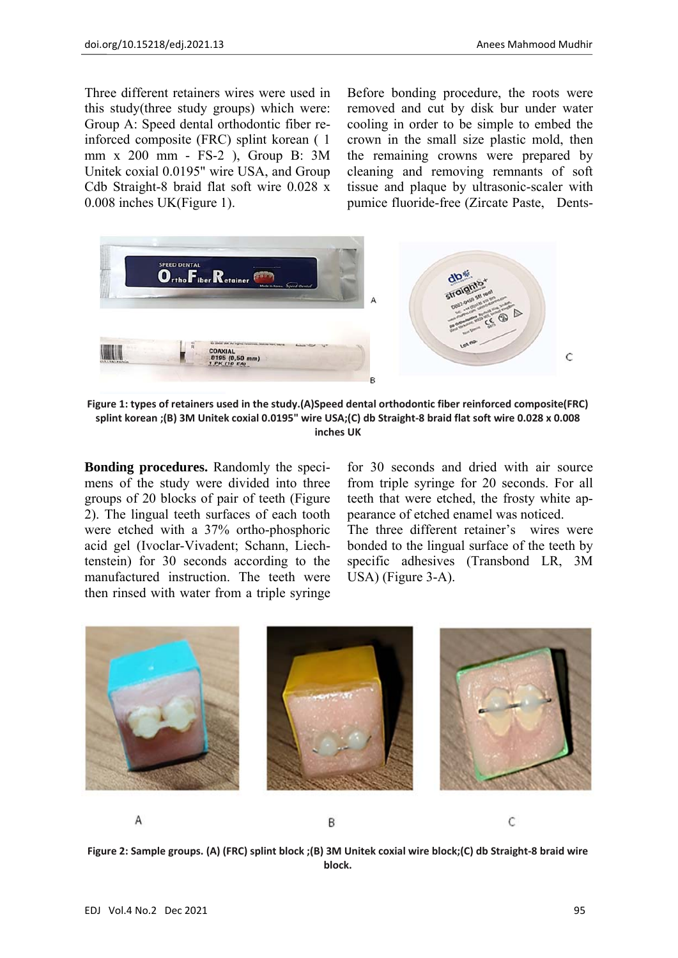Three different retainers wires were used in this study(three study groups) which were: Group A: Speed dental orthodontic fiber reinforced composite (FRC) splint korean ( 1 mm x 200 mm - FS-2 ), Group B: 3M Unitek coxial 0.0195" wire USA, and Group Cdb Straight-8 braid flat soft wire 0.028 x 0.008 inches UK(Figure 1).

Before bonding procedure, the roots were removed and cut by disk bur under water cooling in order to be simple to embed the crown in the small size plastic mold, then the remaining crowns were prepared by cleaning and removing remnants of soft tissue and plaque by ultrasonic-scaler with pumice fluoride-free (Zircate Paste, Dents-



**Figure 1: types of retainers used in the study.(A)Speed dental orthodontic fiber reinforced composite(FRC)** splint korean : (B) 3M Unitek coxial 0.0195" wire USA: (C) db Straight-8 braid flat soft wire 0.028 x 0.008 **inches UK**

**Bonding procedures.** Randomly the specimens of the study were divided into three groups of 20 blocks of pair of teeth (Figure 2). The lingual teeth surfaces of each tooth were etched with a 37% ortho-phosphoric acid gel (Ivoclar-Vivadent; Schann, Liechtenstein) for 30 seconds according to the manufactured instruction. The teeth were then rinsed with water from a triple syringe for 30 seconds and dried with air source from triple syringe for 20 seconds. For all teeth that were etched, the frosty white appearance of etched enamel was noticed. The three different retainer's wires were bonded to the lingual surface of the teeth by specific adhesives (Transbond LR, 3M

USA) (Figure 3-A).



Figure 2: Sample groups. (A) (FRC) splint block ;(B) 3M Unitek coxial wire block;(C) db Straight-8 braid wire **block.**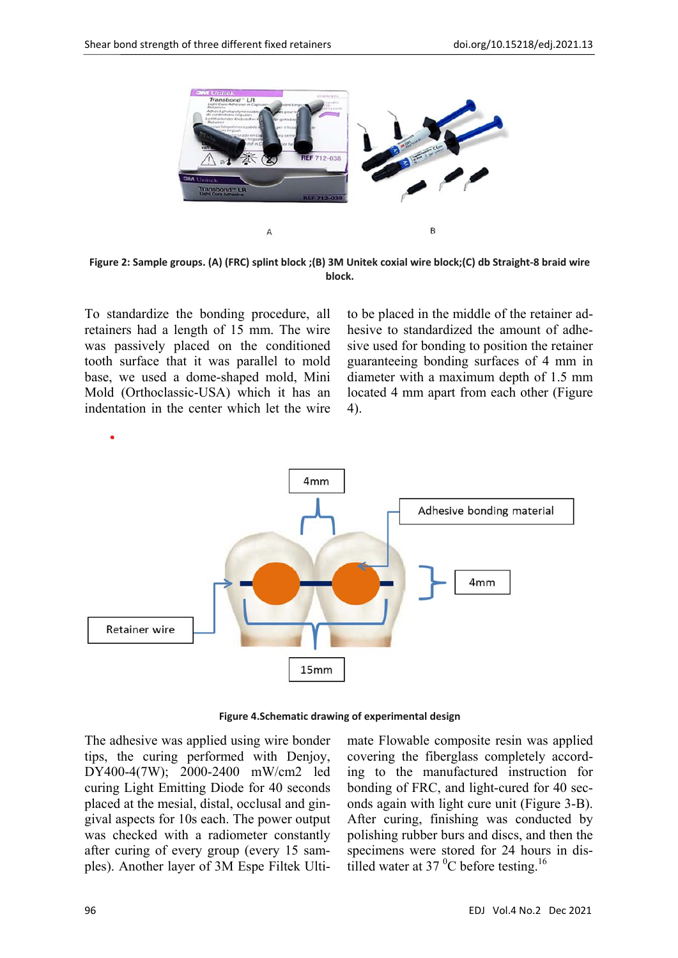

Figure 2: Sample groups. (A) (FRC) splint block ;(B) 3M Unitek coxial wire block;(C) db Straight-8 braid wire **block.**

To standardize the bonding procedure, all retainers had a length of 15 mm. The wire was passively placed on the conditioned tooth surface that it was parallel to mold base, we used a dome-shaped mold, Mini Mold (Orthoclassic-USA) which it has an indentation in the center which let the wire to be placed in the middle of the retainer adhesive to standardized the amount of adhesive used for bonding to position the retainer guaranteeing bonding surfaces of 4 mm in diameter with a maximum depth of 1.5 mm located 4 mm apart from each other (Figure 4).



**Figure 4.Schematic drawing of experimental design**

The adhesive was applied using wire bonder tips, the curing performed with Denjoy, DY400-4(7W); 2000-2400 mW/cm2 led curing Light Emitting Diode for 40 seconds placed at the mesial, distal, occlusal and gingival aspects for 10s each. The power output was checked with a radiometer constantly after curing of every group (every 15 samples). Another layer of 3M Espe Filtek Ultimate Flowable composite resin was applied covering the fiberglass completely according to the manufactured instruction for bonding of FRC, and light-cured for 40 seconds again with light cure unit (Figure 3-B). After curing, finishing was conducted by polishing rubber burs and discs, and then the specimens were stored for 24 hours in distilled water at 37 $\mathrm{^{0}C}$  before testing.<sup>16</sup>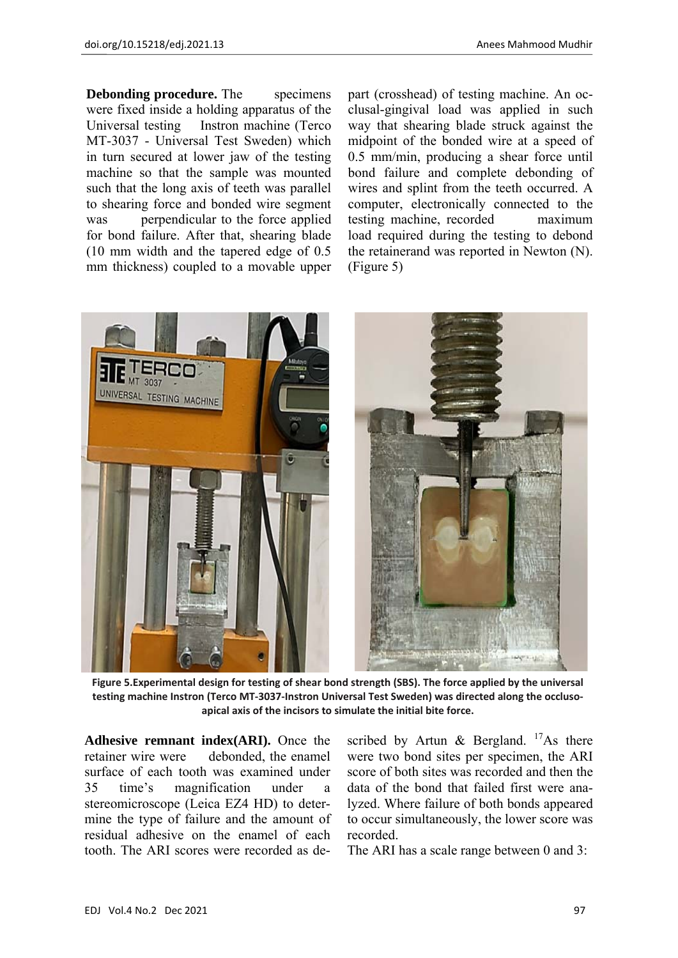**Debonding procedure.** The specimens were fixed inside a holding apparatus of the Universal testing Instron machine (Terco MT-3037 - Universal Test Sweden) which in turn secured at lower jaw of the testing machine so that the sample was mounted such that the long axis of teeth was parallel to shearing force and bonded wire segment was perpendicular to the force applied for bond failure. After that, shearing blade (10 mm width and the tapered edge of 0.5 mm thickness) coupled to a movable upper part (crosshead) of testing machine. An occlusal-gingival load was applied in such way that shearing blade struck against the midpoint of the bonded wire at a speed of 0.5 mm/min, producing a shear force until bond failure and complete debonding of wires and splint from the teeth occurred. A computer, electronically connected to the testing machine, recorded maximum load required during the testing to debond the retainerand was reported in Newton (N). (Figure 5)



**Figure 5.Experimental design for testing of shear bond strength (SBS). The force applied by the universal** testing machine Instron (Terco MT-3037-Instron Universal Test Sweden) was directed along the occluso**apical axis of the incisors to simulate the initial bite force.**

**Adhesive remnant index(ARI).** Once the retainer wire were debonded, the enamel surface of each tooth was examined under 35 time's magnification under a stereomicroscope (Leica EZ4 HD) to determine the type of failure and the amount of residual adhesive on the enamel of each tooth. The ARI scores were recorded as described by Artun & Bergland.  $17$ As there were two bond sites per specimen, the ARI score of both sites was recorded and then the data of the bond that failed first were analyzed. Where failure of both bonds appeared to occur simultaneously, the lower score was recorded.

The ARI has a scale range between 0 and 3: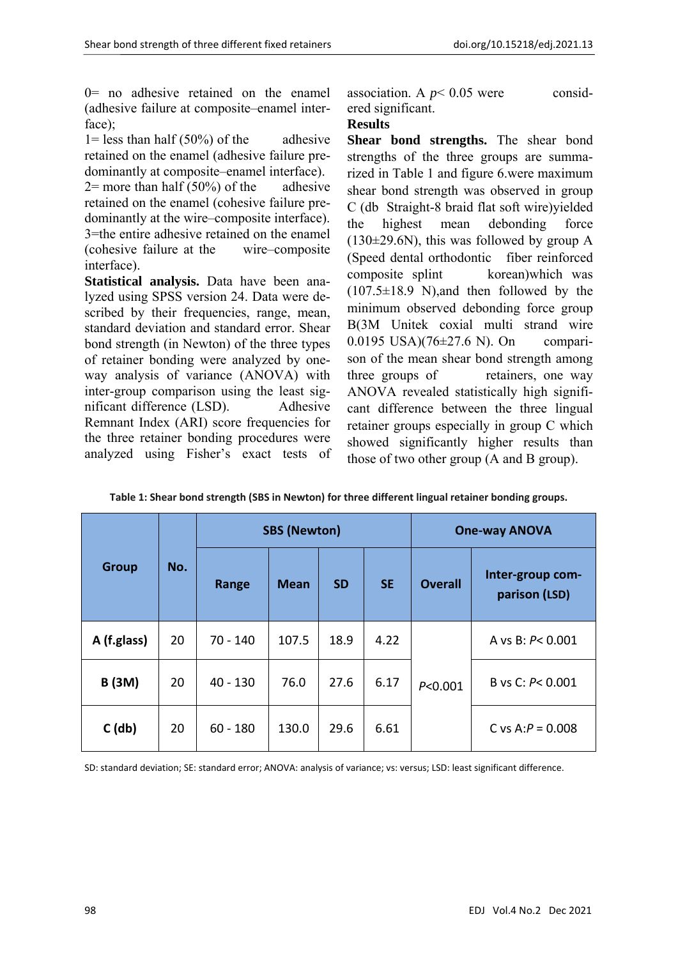0= no adhesive retained on the enamel (adhesive failure at composite–enamel interface);

 $1 =$  less than half (50%) of the adhesive retained on the enamel (adhesive failure predominantly at composite–enamel interface).

 $2=$  more than half (50%) of the adhesive retained on the enamel (cohesive failure predominantly at the wire–composite interface). 3=the entire adhesive retained on the enamel (cohesive failure at the wire–composite interface).

**Statistical analysis.** Data have been analyzed using SPSS version 24. Data were described by their frequencies, range, mean, standard deviation and standard error. Shear bond strength (in Newton) of the three types of retainer bonding were analyzed by oneway analysis of variance (ANOVA) with inter-group comparison using the least significant difference (LSD). Adhesive Remnant Index (ARI) score frequencies for the three retainer bonding procedures were analyzed using Fisher's exact tests of association. A  $p$  < 0.05 were considered significant.

#### **Results**

**Shear bond strengths.** The shear bond strengths of the three groups are summarized in Table 1 and figure 6.were maximum shear bond strength was observed in group C (db Straight-8 braid flat soft wire)yielded the highest mean debonding force  $(130\pm29.6N)$ , this was followed by group A (Speed dental orthodontic fiber reinforced composite splint korean)which was  $(107.5\pm18.9 \text{ N})$ , and then followed by the minimum observed debonding force group B(3M Unitek coxial multi strand wire 0.0195 USA)(76±27.6 N). On comparison of the mean shear bond strength among three groups of retainers, one way ANOVA revealed statistically high significant difference between the three lingual retainer groups especially in group C which showed significantly higher results than those of two other group (A and B group).

| <b>Group</b>  | No. |            | <b>SBS (Newton)</b> |           | <b>One-way ANOVA</b> |                |                                   |
|---------------|-----|------------|---------------------|-----------|----------------------|----------------|-----------------------------------|
|               |     | Range      | <b>Mean</b>         | <b>SD</b> | <b>SE</b>            | <b>Overall</b> | Inter-group com-<br>parison (LSD) |
| A (f.glass)   | 20  | $70 - 140$ | 107.5               | 18.9      | 4.22                 | P < 0.001      | A vs B: P< 0.001                  |
| <b>B</b> (3M) | 20  | $40 - 130$ | 76.0                | 27.6      | 6.17                 |                | B vs C: $P < 0.001$               |
| $C$ (db)      | 20  | $60 - 180$ | 130.0               | 29.6      | 6.61                 |                | C vs A: $P = 0.008$               |

**Table 1: Shear bond strength (SBS in Newton) for three different lingual retainer bonding groups.**

SD: standard deviation; SE: standard error; ANOVA: analysis of variance; vs: versus; LSD: least significant difference.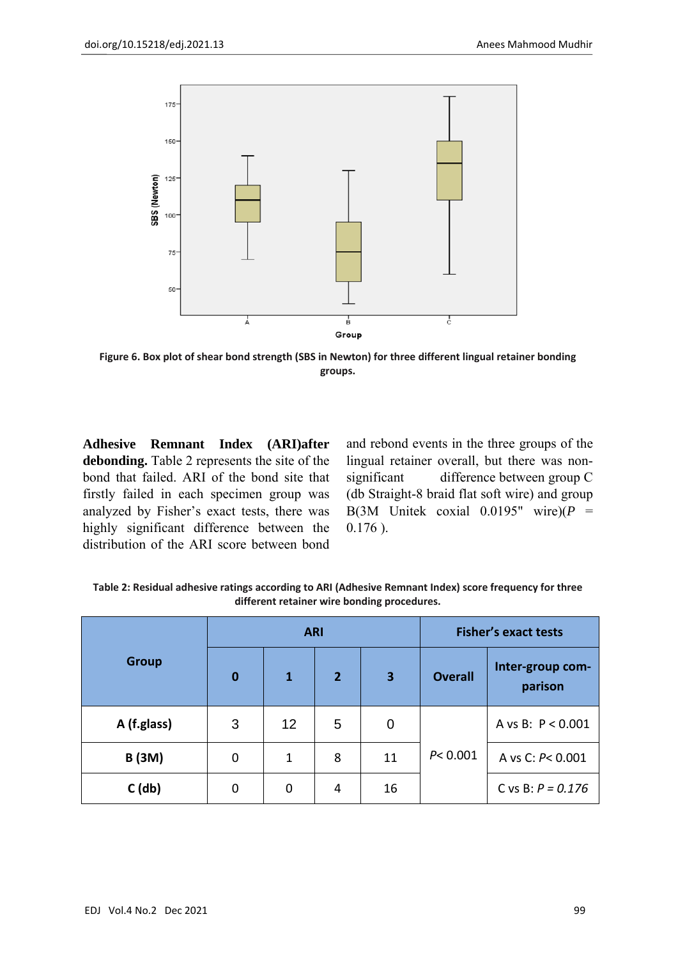

**Figure 6. Box plot of shear bond strength (SBS in Newton) for three different lingual retainer bonding groups.**

**Adhesive Remnant Index (ARI)after debonding.** Table 2 represents the site of the bond that failed. ARI of the bond site that firstly failed in each specimen group was analyzed by Fisher's exact tests, there was highly significant difference between the distribution of the ARI score between bond and rebond events in the three groups of the lingual retainer overall, but there was nonsignificant difference between group C (db Straight-8 braid flat soft wire) and group B(3M Unitek coxial  $0.0195$ " wire)( $P =$ 0.176 ).

**Table 2: Residual adhesive ratings according to ARI (Adhesive Remnant Index) score frequency for three different retainer wire bonding procedures.**

|               |          | <b>ARI</b> |                | <b>Fisher's exact tests</b> |                |                             |
|---------------|----------|------------|----------------|-----------------------------|----------------|-----------------------------|
| <b>Group</b>  | $\bf{0}$ | 1          | $\overline{2}$ | 3                           | <b>Overall</b> | Inter-group com-<br>parison |
| A (f.glass)   | 3        | 12         | 5              | $\mathbf 0$                 |                | A vs B: P < 0.001           |
| <b>B</b> (3M) | 0        | 1          | 8              | 11                          | P < 0.001      | A vs C: P< 0.001            |
| $C$ (db)      | 0        | 0          | $\overline{4}$ | 16                          |                | C vs B: $P = 0.176$         |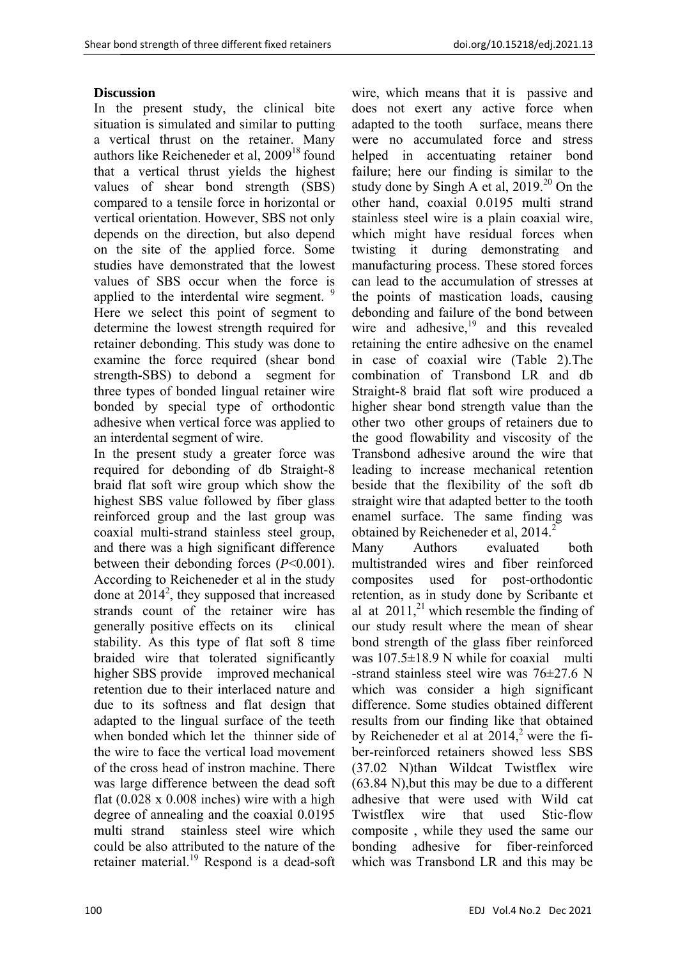## **Discussion**

In the present study, the clinical bite situation is simulated and similar to putting a vertical thrust on the retainer. Many authors like Reicheneder et al, 2009<sup>18</sup> found that a vertical thrust yields the highest values of shear bond strength (SBS) compared to a tensile force in horizontal or vertical orientation. However, SBS not only depends on the direction, but also depend on the site of the applied force. Some studies have demonstrated that the lowest values of SBS occur when the force is applied to the interdental wire segment. <sup>9</sup> Here we select this point of segment to determine the lowest strength required for retainer debonding. This study was done to examine the force required (shear bond strength-SBS) to debond a segment for three types of bonded lingual retainer wire bonded by special type of orthodontic adhesive when vertical force was applied to an interdental segment of wire.

In the present study a greater force was required for debonding of db Straight-8 braid flat soft wire group which show the highest SBS value followed by fiber glass reinforced group and the last group was coaxial multi-strand stainless steel group, and there was a high significant difference between their debonding forces (*P*<0.001). According to Reicheneder et al in the study done at  $2014^2$ , they supposed that increased strands count of the retainer wire has generally positive effects on its clinical stability. As this type of flat soft 8 time braided wire that tolerated significantly higher SBS provide improved mechanical retention due to their interlaced nature and due to its softness and flat design that adapted to the lingual surface of the teeth when bonded which let the thinner side of the wire to face the vertical load movement of the cross head of instron machine. There was large difference between the dead soft flat  $(0.028 \times 0.008)$  inches) wire with a high degree of annealing and the coaxial 0.0195 multi strand stainless steel wire which could be also attributed to the nature of the retainer material.<sup>19</sup> Respond is a dead-soft

wire, which means that it is passive and does not exert any active force when adapted to the tooth surface, means there were no accumulated force and stress helped in accentuating retainer bond failure; here our finding is similar to the study done by Singh A et al,  $2019<sup>20</sup>$  On the other hand, coaxial 0.0195 multi strand stainless steel wire is a plain coaxial wire, which might have residual forces when twisting it during demonstrating and manufacturing process. These stored forces can lead to the accumulation of stresses at the points of mastication loads, causing debonding and failure of the bond between wire and adhesive, $19$  and this revealed retaining the entire adhesive on the enamel in case of coaxial wire (Table 2).The combination of Transbond LR and db Straight-8 braid flat soft wire produced a higher shear bond strength value than the other two other groups of retainers due to the good flowability and viscosity of the Transbond adhesive around the wire that leading to increase mechanical retention beside that the flexibility of the soft db straight wire that adapted better to the tooth enamel surface. The same finding was obtained by Reicheneder et al,  $2014<sup>2</sup>$ 

Many Authors evaluated both multistranded wires and fiber reinforced composites used for post-orthodontic retention, as in study done by Scribante et al at  $2011$ ,<sup>21</sup> which resemble the finding of our study result where the mean of shear bond strength of the glass fiber reinforced was  $107.5\pm18.9$  N while for coaxial multi -strand stainless steel wire was  $76\pm27.6$  N which was consider a high significant difference. Some studies obtained different results from our finding like that obtained by Reicheneder et al at  $2014$ ,<sup>2</sup> were the fiber-reinforced retainers showed less SBS (37.02 N)than Wildcat Twistflex wire (63.84 N),but this may be due to a different adhesive that were used with Wild cat Twistflex wire that used Stic-flow composite , while they used the same our bonding adhesive for fiber-reinforced which was Transbond LR and this may be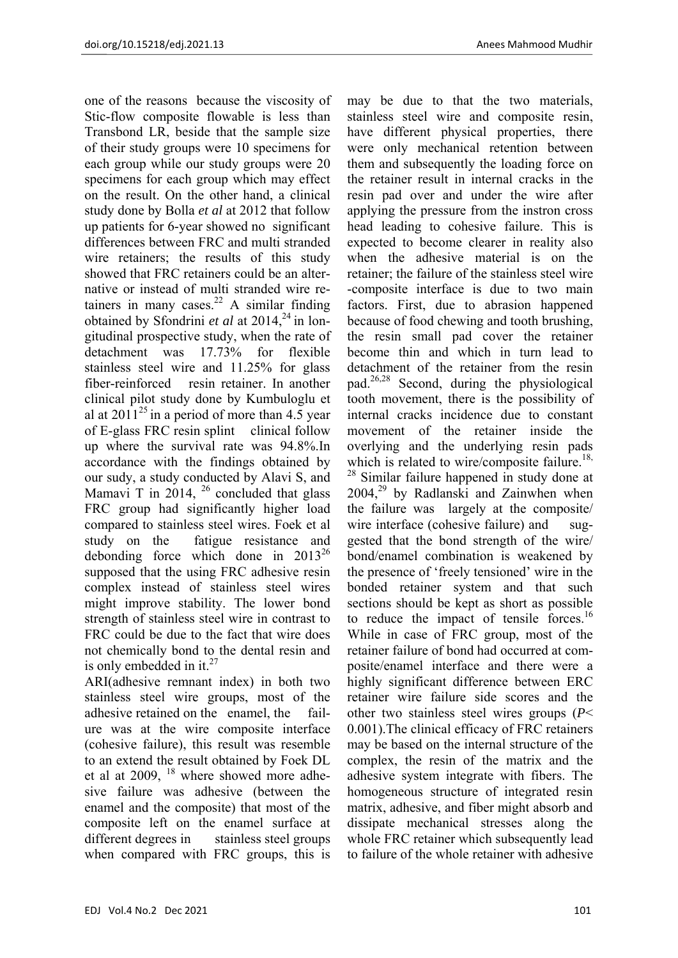one of the reasons because the viscosity of Stic-flow composite flowable is less than Transbond LR, beside that the sample size of their study groups were 10 specimens for each group while our study groups were 20 specimens for each group which may effect on the result. On the other hand, a clinical study done by Bolla *et al* at 2012 that follow up patients for 6-year showed no significant differences between FRC and multi stranded wire retainers; the results of this study showed that FRC retainers could be an alternative or instead of multi stranded wire retainers in many cases. $22$  A similar finding obtained by Sfondrini *et al* at 2014,<sup>24</sup> in longitudinal prospective study, when the rate of detachment was 17.73% for flexible stainless steel wire and 11.25% for glass fiber-reinforced resin retainer. In another clinical pilot study done by Kumbuloglu et al at  $2011^{25}$  in a period of more than 4.5 year of E-glass FRC resin splint clinical follow up where the survival rate was 94.8%.In accordance with the findings obtained by our sudy, a study conducted by Alavi S, and Mamavi T in  $2014$ ,  $^{26}$  concluded that glass FRC group had significantly higher load compared to stainless steel wires. Foek et al study on the fatigue resistance and debonding force which done in  $2013^{26}$ supposed that the using FRC adhesive resin complex instead of stainless steel wires might improve stability. The lower bond strength of stainless steel wire in contrast to FRC could be due to the fact that wire does not chemically bond to the dental resin and is only embedded in it. $^{27}$ 

ARI(adhesive remnant index) in both two stainless steel wire groups, most of the adhesive retained on the enamel, the failure was at the wire composite interface (cohesive failure), this result was resemble to an extend the result obtained by Foek DL et al at 2009, 18 where showed more adhesive failure was adhesive (between the enamel and the composite) that most of the composite left on the enamel surface at different degrees in stainless steel groups when compared with FRC groups, this is

may be due to that the two materials, stainless steel wire and composite resin, have different physical properties, there were only mechanical retention between them and subsequently the loading force on the retainer result in internal cracks in the resin pad over and under the wire after applying the pressure from the instron cross head leading to cohesive failure. This is expected to become clearer in reality also when the adhesive material is on the retainer; the failure of the stainless steel wire -composite interface is due to two main factors. First, due to abrasion happened because of food chewing and tooth brushing, the resin small pad cover the retainer become thin and which in turn lead to detachment of the retainer from the resin pad.26,28 Second, during the physiological tooth movement, there is the possibility of internal cracks incidence due to constant movement of the retainer inside the overlying and the underlying resin pads which is related to wire/composite failure.<sup>18,</sup> <sup>28</sup> Similar failure happened in study done at  $2004<sup>29</sup>$  by Radlanski and Zainwhen when the failure was largely at the composite/ wire interface (cohesive failure) and suggested that the bond strength of the wire/ bond/enamel combination is weakened by the presence of 'freely tensioned' wire in the bonded retainer system and that such sections should be kept as short as possible to reduce the impact of tensile forces.<sup>16</sup> While in case of FRC group, most of the retainer failure of bond had occurred at composite/enamel interface and there were a highly significant difference between ERC retainer wire failure side scores and the other two stainless steel wires groups (*P*< 0.001).The clinical efficacy of FRC retainers may be based on the internal structure of the complex, the resin of the matrix and the adhesive system integrate with fibers. The homogeneous structure of integrated resin matrix, adhesive, and fiber might absorb and dissipate mechanical stresses along the whole FRC retainer which subsequently lead to failure of the whole retainer with adhesive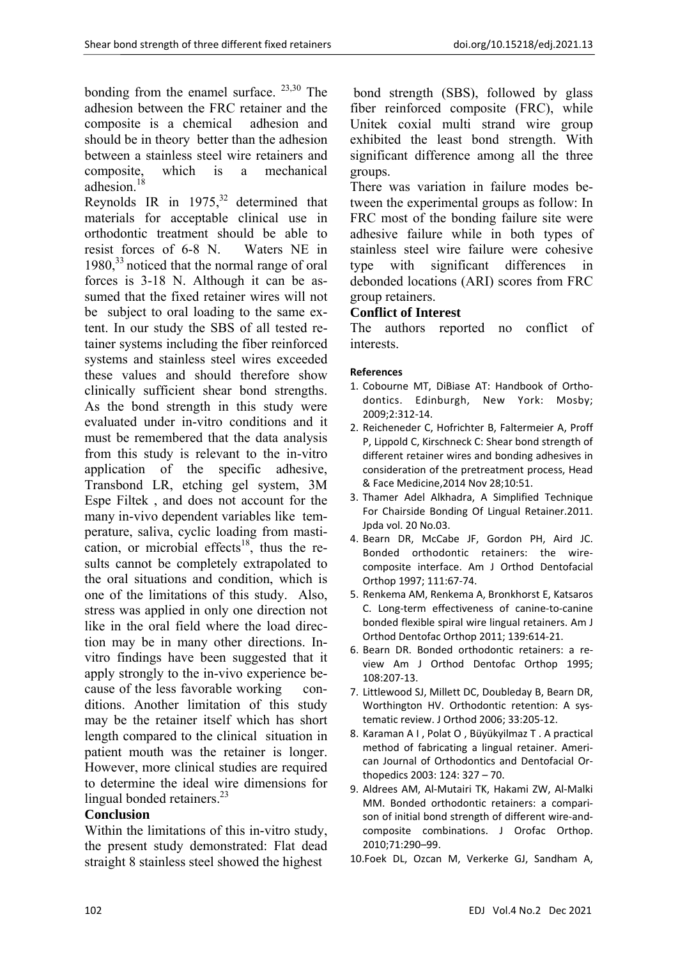bonding from the enamel surface.  $^{23,30}$  The adhesion between the FRC retainer and the composite is a chemical adhesion and should be in theory better than the adhesion between a stainless steel wire retainers and composite, which is a mechanical adhesion.<sup>18</sup>

Reynolds IR in  $1975$ ,<sup>32</sup> determined that materials for acceptable clinical use in orthodontic treatment should be able to resist forces of 6-8 N. Waters NE in  $1980$ <sup>33</sup> noticed that the normal range of oral forces is 3-18 N. Although it can be assumed that the fixed retainer wires will not be subject to oral loading to the same extent. In our study the SBS of all tested retainer systems including the fiber reinforced systems and stainless steel wires exceeded these values and should therefore show clinically sufficient shear bond strengths. As the bond strength in this study were evaluated under in-vitro conditions and it must be remembered that the data analysis from this study is relevant to the in-vitro application of the specific adhesive, Transbond LR, etching gel system, 3M Espe Filtek , and does not account for the many in-vivo dependent variables like temperature, saliva, cyclic loading from mastication, or microbial effects<sup>18</sup>, thus the results cannot be completely extrapolated to the oral situations and condition, which is one of the limitations of this study. Also, stress was applied in only one direction not like in the oral field where the load direction may be in many other directions. Invitro findings have been suggested that it apply strongly to the in-vivo experience because of the less favorable working conditions. Another limitation of this study may be the retainer itself which has short length compared to the clinical situation in patient mouth was the retainer is longer. However, more clinical studies are required to determine the ideal wire dimensions for lingual bonded retainers.<sup>23</sup>

# **Conclusion**

Within the limitations of this in-vitro study, the present study demonstrated: Flat dead straight 8 stainless steel showed the highest

 bond strength (SBS), followed by glass fiber reinforced composite (FRC), while Unitek coxial multi strand wire group exhibited the least bond strength. With significant difference among all the three groups.

There was variation in failure modes between the experimental groups as follow: In FRC most of the bonding failure site were adhesive failure while in both types of stainless steel wire failure were cohesive type with significant differences in debonded locations (ARI) scores from FRC group retainers.

### **Conflict of Interest**

The authors reported no conflict of interests.

#### **References**

- 1. Cobourne MT, DiBiase AT: Handbook of Ortho‐ dontics. Edinburgh, New York: Mosby; 2009;2:312‐14.
- 2. Reicheneder C, Hofrichter B, Faltermeier A, Proff P, Lippold C, Kirschneck C: Shear bond strength of different retainer wires and bonding adhesives in consideration of the pretreatment process, Head & Face Medicine,2014 Nov 28;10:51.
- 3. Thamer Adel Alkhadra, A Simplified Technique For Chairside Bonding Of Lingual Retainer.2011. Jpda vol. 20 No.03.
- 4. Bearn DR, McCabe JF, Gordon PH, Aird JC. Bonded orthodontic retainers: the wire‐ composite interface. Am J Orthod Dentofacial Orthop 1997; 111:67‐74.
- 5. Renkema AM, Renkema A, Bronkhorst E, Katsaros C. Long‐term effectiveness of canine‐to‐canine bonded flexible spiral wire lingual retainers. Am J Orthod Dentofac Orthop 2011; 139:614‐21.
- 6. Bearn DR. Bonded orthodontic retainers: a re‐ view Am J Orthod Dentofac Orthop 1995; 108:207‐13.
- 7. Littlewood SJ, Millett DC, Doubleday B, Bearn DR, Worthington HV. Orthodontic retention: A systematic review. J Orthod 2006; 33:205‐12.
- 8. Karaman A I , Polat O , Büyükyilmaz T . A practical method of fabricating a lingual retainer. Ameri‐ can Journal of Orthodontics and Dentofacial Or‐ thopedics 2003: 124: 327 – 70.
- 9. Aldrees AM, Al‐Mutairi TK, Hakami ZW, Al‐Malki MM. Bonded orthodontic retainers: a compari‐ son of initial bond strength of different wire‐and‐ composite combinations. J Orofac Orthop. 2010;71:290–99.
- 10.Foek DL, Ozcan M, Verkerke GJ, Sandham A,